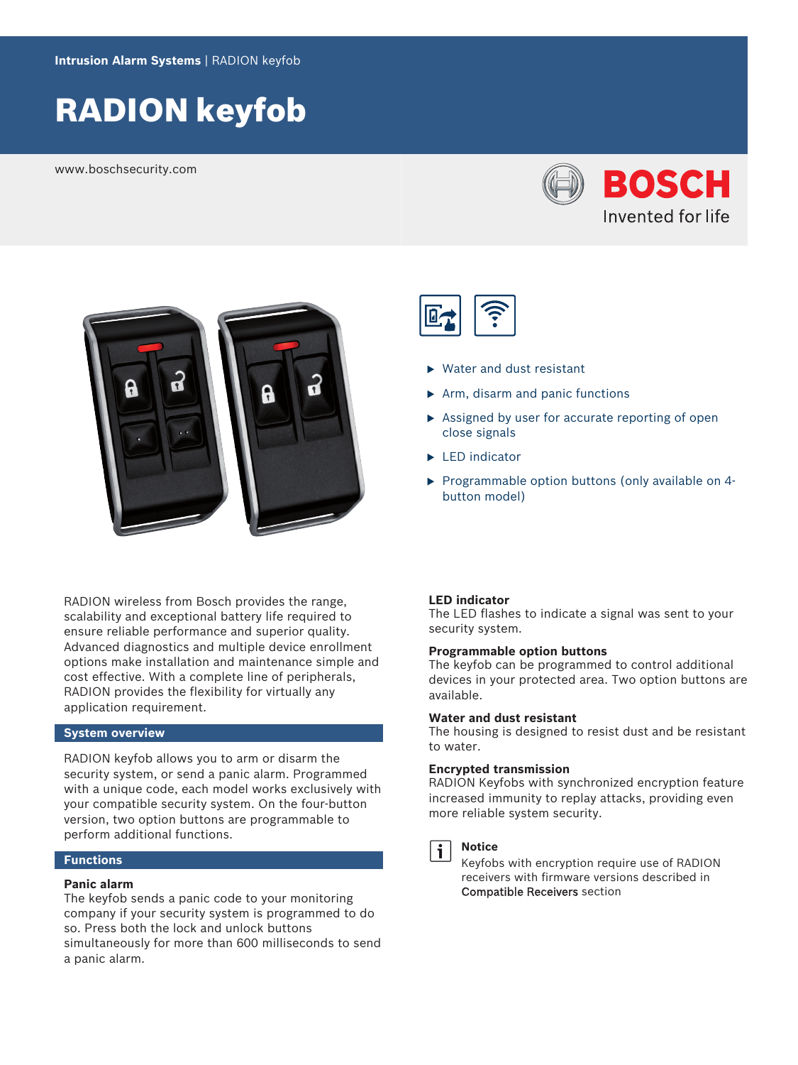# RADION keyfob

www.boschsecurity.com





RADION wireless from Bosch provides the range, scalability and exceptional battery life required to ensure reliable performance and superior quality. Advanced diagnostics and multiple device enrollment options make installation and maintenance simple and cost effective. With a complete line of peripherals, RADION provides the flexibility for virtually any application requirement.

### **System overview**

RADION keyfob allows you to arm or disarm the security system, or send a panic alarm. Programmed with a unique code, each model works exclusively with your compatible security system. On the four-button version, two option buttons are programmable to perform additional functions.

### **Functions**

#### **Panic alarm**

The keyfob sends a panic code to your monitoring company if your security system is programmed to do so. Press both the lock and unlock buttons simultaneously for more than 600 milliseconds to send a panic alarm.



- $\triangleright$  Water and dust resistant
- $\triangleright$  Arm, disarm and panic functions
- $\triangleright$  Assigned by user for accurate reporting of open close signals
- $\blacktriangleright$  LED indicator
- $\triangleright$  Programmable option buttons (only available on 4button model)

#### **LED indicator**

The LED flashes to indicate a signal was sent to your security system.

#### **Programmable option buttons**

The keyfob can be programmed to control additional devices in your protected area. Two option buttons are available.

#### **Water and dust resistant**

The housing is designed to resist dust and be resistant to water.

#### **Encrypted transmission**

RADION Keyfobs with synchronized encryption feature increased immunity to replay attacks, providing even more reliable system security.



#### **Notice**

Keyfobs with encryption require use of RADION receivers with firmware versions described in Compatible Receivers section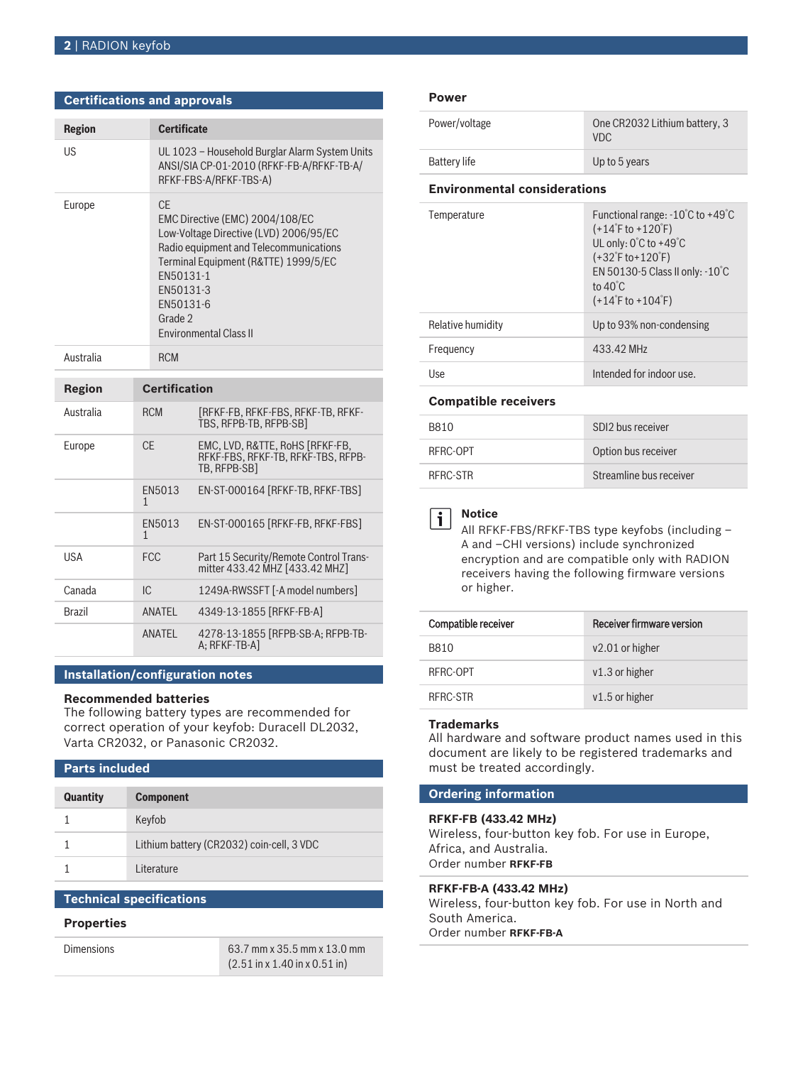| <b>Certifications and approvals</b> |                                                                                                                                                                                                                                                       |  |
|-------------------------------------|-------------------------------------------------------------------------------------------------------------------------------------------------------------------------------------------------------------------------------------------------------|--|
| <b>Region</b>                       | <b>Certificate</b>                                                                                                                                                                                                                                    |  |
| US.                                 | UL 1023 - Household Burglar Alarm System Units<br>ANSI/SIA CP-01-2010 (RFKF-FB-A/RFKF-TB-A/<br>RFKF-FBS-A/RFKF-TBS-A)                                                                                                                                 |  |
| Europe                              | CF.<br>EMC Directive (EMC) 2004/108/EC<br>Low-Voltage Directive (LVD) 2006/95/EC<br>Radio equipment and Telecommunications<br>Terminal Equipment (R&TTE) 1999/5/EC<br>EN50131-1<br>EN50131-3<br>FN50131-6<br>Grade 2<br><b>Environmental Class II</b> |  |
| Australia                           | <b>RCM</b>                                                                                                                                                                                                                                            |  |

| Region     | <b>Certification</b> |                                                                                       |
|------------|----------------------|---------------------------------------------------------------------------------------|
| Australia  | <b>RCM</b>           | [RFKF-FB. RFKF-FBS. RFKF-TB. RFKF-<br>TBS, RFPB-TB, RFPB-SB1                          |
| Europe     | CF.                  | EMC. LVD. R&TTE. RoHS [RFKF-FB.<br>RFKF-FBS, RFKF-TB, RFKF-TBS, RFPB-<br>TB. RFPB-SB1 |
|            | EN5013<br>1          | EN-ST-000164 [RFKF-TB, RFKF-TBS]                                                      |
|            | FN5013<br>1          | EN-ST-000165 [RFKF-FB, RFKF-FBS]                                                      |
| <b>USA</b> | <b>FCC</b>           | Part 15 Security/Remote Control Trans-<br>mitter 433.42 MHZ [433.42 MHZ]              |
| Canada     | IC.                  | 1249A-RWSSFT [-A model numbers]                                                       |
| Brazil     | ANATFI               | 4349-13-1855 [RFKF-FB-A]                                                              |
|            | ANATEL               | 4278-13-1855 [RFPB-SB-A; RFPB-TB-<br>A: RFKF-TB-AI                                    |

#### **Installation/configuration notes**

#### **Recommended batteries**

The following battery types are recommended for correct operation of your keyfob: Duracell DL2032, Varta CR2032, or Panasonic CR2032.

## **Parts included**

| <b>Quantity</b> | <b>Component</b>                          |
|-----------------|-------------------------------------------|
|                 | Keyfob                                    |
|                 | Lithium battery (CR2032) coin-cell, 3 VDC |
|                 | Literature                                |

### **Technical specifications**

#### **Properties**

| <b>Dimensions</b> | 63.7 mm x 35.5 mm x 13.0 mm                               |
|-------------------|-----------------------------------------------------------|
|                   | $(2.51 \text{ in x } 1.40 \text{ in x } 0.51 \text{ in})$ |

#### **Power**

| Power/voltage                       | One CR2032 Lithium battery, 3<br><b>VDC</b>                                                                                                                                                                        |  |  |
|-------------------------------------|--------------------------------------------------------------------------------------------------------------------------------------------------------------------------------------------------------------------|--|--|
| <b>Battery life</b>                 | Up to 5 years                                                                                                                                                                                                      |  |  |
| <b>Environmental considerations</b> |                                                                                                                                                                                                                    |  |  |
| Temperature                         | Functional range: $-10^{\circ}$ C to $+49^{\circ}$ C<br>$(+14°$ F to +120°F)<br>UL only: 0°C to +49°C<br>$(+32°$ F to + 120°F)<br>EN 50130-5 Class II only: -10°C<br>to $40^{\circ}$ C<br>$(+14°$ F to +104 $°$ F) |  |  |
| Relative humidity                   | Up to 93% non-condensing                                                                                                                                                                                           |  |  |
| Frequency                           | 433.42 MHz                                                                                                                                                                                                         |  |  |
| llse                                | Intended for indoor use.                                                                                                                                                                                           |  |  |
| <b>Compatible receivers</b>         |                                                                                                                                                                                                                    |  |  |
| <b>B810</b>                         | SDI2 bus receiver                                                                                                                                                                                                  |  |  |
|                                     |                                                                                                                                                                                                                    |  |  |

| RFRC-OPT | Option bus receiver     |
|----------|-------------------------|
| RFRC-STR | Streamline bus receiver |
|          |                         |

#### **Notice** i

All RFKF-FBS/RFKF-TBS type keyfobs (including – A and –CHI versions) include synchronized encryption and are compatible only with RADION receivers having the following firmware versions or higher.

| Compatible receiver | Receiver firmware version |
|---------------------|---------------------------|
| B810                | $v2.01$ or higher         |
| RFRC-OPT            | $v1.3$ or higher          |
| RERC-STR            | $v1.5$ or higher          |

#### **Trademarks**

All hardware and software product names used in this document are likely to be registered trademarks and must be treated accordingly.

#### **Ordering information**

#### **RFKF-FB (433.42 MHz)**

Wireless, four-button key fob. For use in Europe, Africa, and Australia. Order number **RFKF-FB**

#### **RFKF-FB-A (433.42 MHz)**

Wireless, four-button key fob. For use in North and South America. Order number **RFKF-FB-A**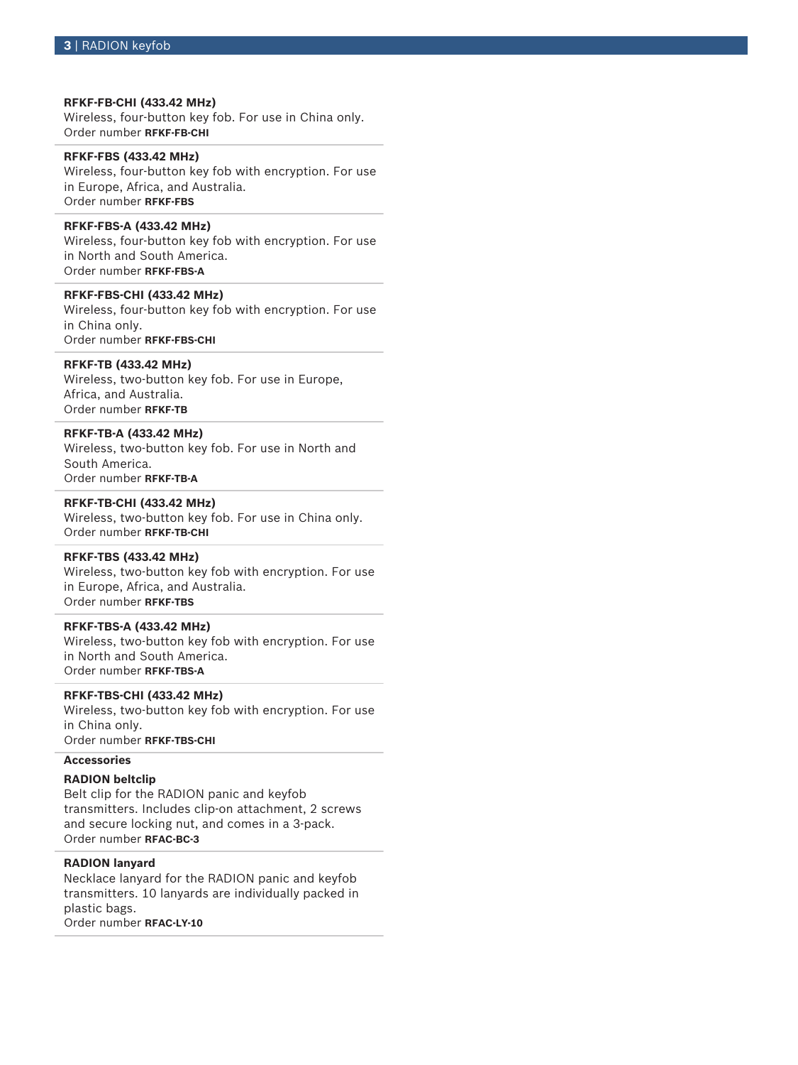**RFKF-FB-CHI (433.42 MHz)** Wireless, four-button key fob. For use in China only. Order number **RFKF-FB-CHI**

**RFKF-FBS (433.42 MHz)** Wireless, four-button key fob with encryption. For use in Europe, Africa, and Australia. Order number **RFKF-FBS**

#### **RFKF-FBS-A (433.42 MHz)**

Wireless, four-button key fob with encryption. For use in North and South America. Order number **RFKF-FBS-A**

#### **RFKF-FBS-CHI (433.42 MHz)**

Wireless, four-button key fob with encryption. For use in China only. Order number **RFKF-FBS-CHI**

#### **RFKF-TB (433.42 MHz)**

Wireless, two-button key fob. For use in Europe, Africa, and Australia. Order number **RFKF-TB**

### **RFKF-TB-A (433.42 MHz)**

Wireless, two-button key fob. For use in North and South America. Order number **RFKF-TB-A**

#### **RFKF-TB-CHI (433.42 MHz)**

Wireless, two-button key fob. For use in China only. Order number **RFKF-TB-CHI**

#### **RFKF-TBS (433.42 MHz)**

Wireless, two-button key fob with encryption. For use in Europe, Africa, and Australia. Order number **RFKF-TBS**

#### **RFKF-TBS-A (433.42 MHz)**

Wireless, two-button key fob with encryption. For use in North and South America. Order number **RFKF-TBS-A**

#### **RFKF-TBS-CHI (433.42 MHz)**

Wireless, two-button key fob with encryption. For use in China only. Order number **RFKF-TBS-CHI**

### **Accessories**

#### **RADION beltclip**

Belt clip for the RADION panic and keyfob transmitters. Includes clip-on attachment, 2 screws and secure locking nut, and comes in a 3-pack. Order number **RFAC-BC-3**

#### **RADION lanyard**

Necklace lanyard for the RADION panic and keyfob transmitters. 10 lanyards are individually packed in plastic bags. Order number **RFAC-LY-10**